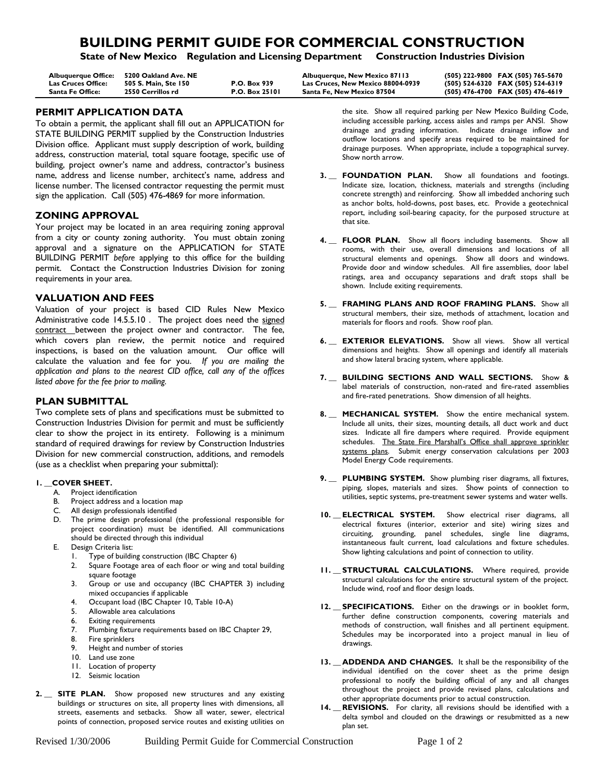# **BUILDING PERMIT GUIDE FOR COMMERCIAL CONSTRUCTION**

**State of New Mexico Regulation and Licensing Department Construction Industries Division**

| Albuguergue Office: | 5200 Oakland Ave. NE |                       | Albuquerque, New Mexico 87113     | (505) 222-9800 FAX (505) 765-5670 |
|---------------------|----------------------|-----------------------|-----------------------------------|-----------------------------------|
| Las Cruces Office:  | 505 S. Main. Ste 150 | <b>P.O. Box 939</b>   | Las Cruces. New Mexico 88004-0939 | (505) 524-6320 FAX (505) 524-6319 |
| Santa Fe Office:    | 2550 Cerrillos rd    | <b>P.O. Box 25101</b> | Santa Fe. New Mexico 87504        | (505) 476-4700 FAX (505) 476-4619 |

# **PERMIT APPLICATION DATA**

To obtain a permit, the applicant shall fill out an APPLICATION for STATE BUILDING PERMIT supplied by the Construction Industries Division office. Applicant must supply description of work, building address, construction material, total square footage, specific use of building, project owner's name and address, contractor's business name, address and license number, architect's name, address and license number. The licensed contractor requesting the permit must sign the application. Call (505) 476-4869 for more information.

# **ZONING APPROVAL**

Your project may be located in an area requiring zoning approval from a city or county zoning authority. You must obtain zoning approval and a signature on the APPLICATION for STATE BUILDING PERMIT *before* applying to this office for the building permit. Contact the Construction Industries Division for zoning requirements in your area.

### **VALUATION AND FEES**

Valuation of your project is based CID Rules New Mexico Administrative code 14.5.5.10 . The project does need the signed contract between the project owner and contractor. The fee, which covers plan review, the permit notice and required inspections, is based on the valuation amount. Our office will calculate the valuation and fee for you. *If you are mailing the application and plans to the nearest CID office, call any of the offices listed above for the fee prior to mailing.*

### **PLAN SUBMITTAL**

Two complete sets of plans and specifications must be submitted to Construction Industries Division for permit and must be sufficiently clear to show the project in its entirety. Following is a minimum standard of required drawings for review by Construction Industries Division for new commercial construction, additions, and remodels (use as a checklist when preparing your submittal):

### **1. \_\_COVER SHEET.**

- A. Project identification
- B. Project address and a location map
- C. All design professionals identified
- D. The prime design professional (the professional responsible for project coordination) must be identified. All communications should be directed through this individual
- E. Design Criteria list:
	- 1. Type of building construction (IBC Chapter 6)
	- 2. Square Footage area of each floor or wing and total building square footage
	- 3. Group or use and occupancy (IBC CHAPTER 3) including mixed occupancies if applicable
	- 4. Occupant load (IBC Chapter 10, Table 10-A)
	- 5. Allowable area calculations
	- 6. Exiting requirements
	- 7. Plumbing fixture requirements based on IBC Chapter 29,
	- 8. Fire sprinklers
	- 9. Height and number of stories
	- 9. Height and nun<br>10. Land use zone
	- 11. Location of property
	- 12. Seismic location
- **2. \_\_ SITE PLAN.** Show proposed new structures and any existing buildings or structures on site, all property lines with dimensions, all streets, easements and setbacks. Show all water, sewer, electrical points of connection, proposed service routes and existing utilities on

the site. Show all required parking per New Mexico Building Code, including accessible parking, access aisles and ramps per ANSI. Show drainage and grading information. Indicate drainage inflow and outflow locations and specify areas required to be maintained for drainage purposes. When appropriate, include a topographical survey. Show north arrow.

- 3. FOUNDATION PLAN. Show all foundations and footings. Indicate size, location, thickness, materials and strengths (including concrete strength) and reinforcing. Show all imbedded anchoring such as anchor bolts, hold-downs, post bases, etc. Provide a geotechnical report, including soil-bearing capacity, for the purposed structure at that site.
- **4. \_\_ FLOOR PLAN.** Show all floors including basements. Show all rooms, with their use, overall dimensions and locations of all structural elements and openings. Show all doors and windows. Provide door and window schedules. All fire assemblies, door label ratings, area and occupancy separations and draft stops shall be shown. Include exiting requirements.
- **5. \_\_ FRAMING PLANS AND ROOF FRAMING PLANS.** Show all structural members, their size, methods of attachment, location and materials for floors and roofs. Show roof plan.
- **6. \_\_ EXTERIOR ELEVATIONS.** Show all views. Show all vertical dimensions and heights. Show all openings and identify all materials and show lateral bracing system, where applicable.
- **7. \_\_ BUILDING SECTIONS AND WALL SECTIONS.** Show & label materials of construction, non-rated and fire-rated assemblies and fire-rated penetrations. Show dimension of all heights.
- **8. \_\_ MECHANICAL SYSTEM.** Show the entire mechanical system. Include all units, their sizes, mounting details, all duct work and duct sizes. Indicate all fire dampers where required. Provide equipment schedules. The State Fire Marshall's Office shall approve sprinkler systems plans. Submit energy conservation calculations per 2003 Model Energy Code requirements.
- **9. \_\_ PLUMBING SYSTEM.** Show plumbing riser diagrams, all fixtures, piping, slopes, materials and sizes. Show points of connection to utilities, septic systems, pre-treatment sewer systems and water wells.
- **10. \_\_ ELECTRICAL SYSTEM.** Show electrical riser diagrams, all electrical fixtures (interior, exterior and site) wiring sizes and circuiting, grounding, panel schedules, single line diagrams, instantaneous fault current, load calculations and fixture schedules. Show lighting calculations and point of connection to utility.
- **11. \_\_ STRUCTURAL CALCULATIONS.** Where required, provide structural calculations for the entire structural system of the project. Include wind, roof and floor design loads.
- 12. SPECIFICATIONS. Either on the drawings or in booklet form, further define construction components, covering materials and methods of construction, wall finishes and all pertinent equipment. Schedules may be incorporated into a project manual in lieu of drawings.
- 13. **ADDENDA AND CHANGES.** It shall be the responsibility of the individual identified on the cover sheet as the prime design professional to notify the building official of any and all changes throughout the project and provide revised plans, calculations and other appropriate documents prior to actual construction.
- 14. REVISIONS. For clarity, all revisions should be identified with a delta symbol and clouded on the drawings or resubmitted as a new plan set.